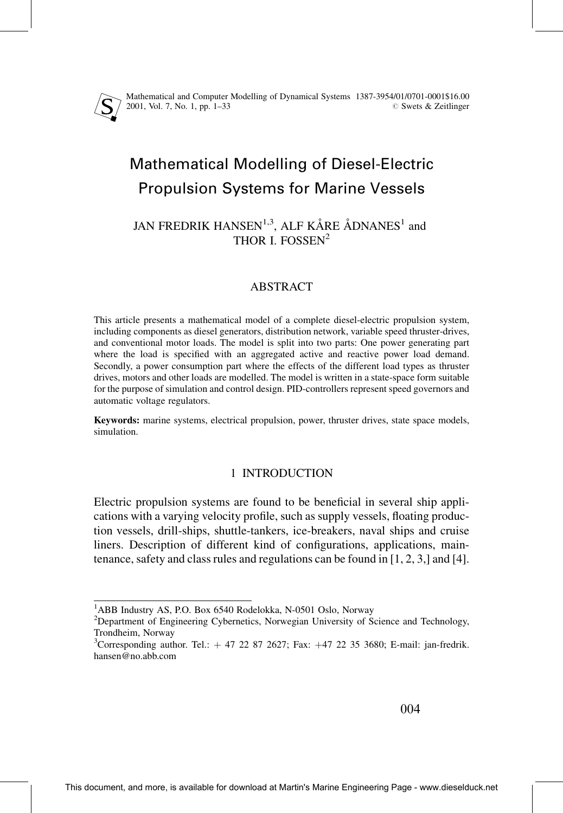Mathematical and Computer Modelling of Dynamical Systems 1387-3954/01/0701-0001\$16.00 2001, Vol. 7, No. 1, pp. 1±33 # Swets & Zeitlinger

# Mathematical Modelling of Diesel-Electric Propulsion Systems for Marine Vessels

# JAN FREDRIK HANSEN<sup>1,3</sup>, ALF KÅRE ÅDNANES<sup>1</sup> and THOR I. FOSSEN<sup>2</sup>

# ABSTRACT

This article presents a mathematical model of a complete diesel-electric propulsion system, including components as diesel generators, distribution network, variable speed thruster-drives, and conventional motor loads. The model is split into two parts: One power generating part where the load is specified with an aggregated active and reactive power load demand. Secondly, a power consumption part where the effects of the different load types as thruster drives, motors and other loads are modelled. The model is written in a state-space form suitable for the purpose of simulation and control design. PID-controllers represent speed governors and automatic voltage regulators.

Keywords: marine systems, electrical propulsion, power, thruster drives, state space models, simulation.

# 1 INTRODUCTION

Electric propulsion systems are found to be beneficial in several ship applications with a varying velocity profile, such as supply vessels, floating production vessels, drill-ships, shuttle-tankers, ice-breakers, naval ships and cruise liners. Description of different kind of configurations, applications, maintenance, safety and class rules and regulations can be found in  $[1, 2, 3]$  and  $[4]$ .

<sup>&</sup>lt;sup>1</sup>ABB Industry AS, P.O. Box 6540 Rodelokka, N-0501 Oslo, Norway <sup>2</sup>Department of Engineering Cybernetics, Norway Injugrativ of S.

<sup>&</sup>lt;sup>2</sup>Department of Engineering Cybernetics, Norwegian University of Science and Technology, Trondheim, Norway <sup>3</sup>

<sup>&</sup>lt;sup>3</sup>Corresponding author. Tel.:  $+ 47 22 87 2627$ ; Fax:  $+47 22 35 3680$ ; E-mail: jan-fredrik. hansen@no.abb.com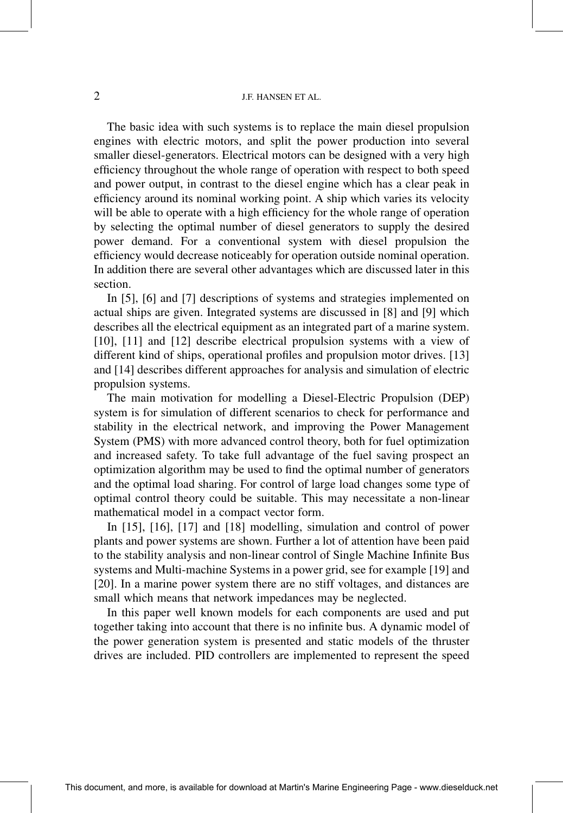The basic idea with such systems is to replace the main diesel propulsion engines with electric motors, and split the power production into several smaller diesel-generators. Electrical motors can be designed with a very high efficiency throughout the whole range of operation with respect to both speed and power output, in contrast to the diesel engine which has a clear peak in efficiency around its nominal working point. A ship which varies its velocity will be able to operate with a high efficiency for the whole range of operation by selecting the optimal number of diesel generators to supply the desired power demand. For a conventional system with diesel propulsion the efficiency would decrease noticeably for operation outside nominal operation. In addition there are several other advantages which are discussed later in this section.

In [5], [6] and [7] descriptions of systems and strategies implemented on actual ships are given. Integrated systems are discussed in [8] and [9] which describes all the electrical equipment as an integrated part of a marine system. [10], [11] and [12] describe electrical propulsion systems with a view of different kind of ships, operational profiles and propulsion motor drives. [13] and [14] describes different approaches for analysis and simulation of electric propulsion systems.

The main motivation for modelling a Diesel-Electric Propulsion (DEP) system is for simulation of different scenarios to check for performance and stability in the electrical network, and improving the Power Management System (PMS) with more advanced control theory, both for fuel optimization and increased safety. To take full advantage of the fuel saving prospect an optimization algorithm may be used to find the optimal number of generators and the optimal load sharing. For control of large load changes some type of optimal control theory could be suitable. This may necessitate a non-linear mathematical model in a compact vector form.

In [15], [16], [17] and [18] modelling, simulation and control of power plants and power systems are shown. Further a lot of attention have been paid to the stability analysis and non-linear control of Single Machine Infinite Bus systems and Multi-machine Systems in a power grid, see for example [19] and [20]. In a marine power system there are no stiff voltages, and distances are small which means that network impedances may be neglected.

In this paper well known models for each components are used and put together taking into account that there is no infinite bus. A dynamic model of the power generation system is presented and static models of the thruster drives are included. PID controllers are implemented to represent the speed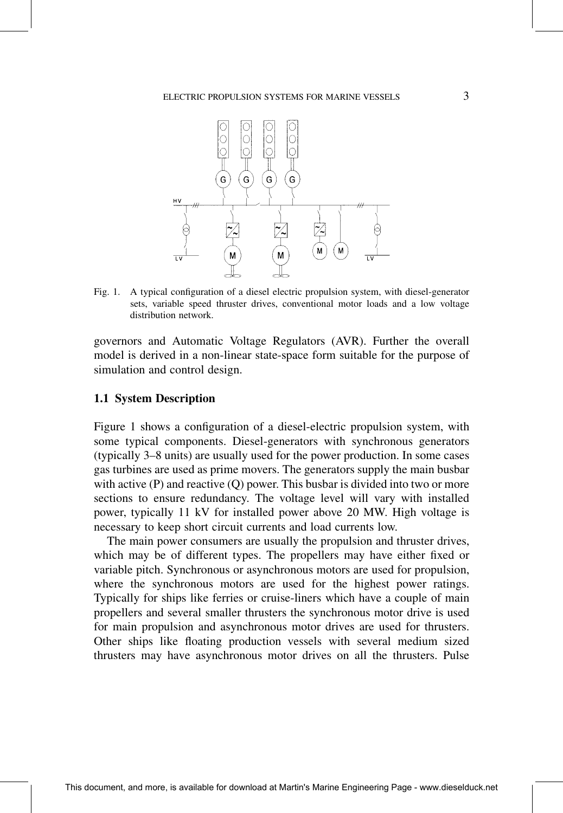

Fig. 1. A typical configuration of a diesel electric propulsion system, with diesel-generator sets, variable speed thruster drives, conventional motor loads and a low voltage distribution network.

governors and Automatic Voltage Regulators (AVR). Further the overall model is derived in a non-linear state-space form suitable for the purpose of simulation and control design.

#### 1.1 System Description

Figure 1 shows a configuration of a diesel-electric propulsion system, with some typical components. Diesel-generators with synchronous generators (typically 3±8 units) are usually used for the power production. In some cases gas turbines are used as prime movers. The generators supply the main busbar with active  $(P)$  and reactive  $(Q)$  power. This busbar is divided into two or more sections to ensure redundancy. The voltage level will vary with installed power, typically 11 kV for installed power above 20 MW. High voltage is necessary to keep short circuit currents and load currents low.

The main power consumers are usually the propulsion and thruster drives, which may be of different types. The propellers may have either fixed or variable pitch. Synchronous or asynchronous motors are used for propulsion, where the synchronous motors are used for the highest power ratings. Typically for ships like ferries or cruise-liners which have a couple of main propellers and several smaller thrusters the synchronous motor drive is used for main propulsion and asynchronous motor drives are used for thrusters. Other ships like floating production vessels with several medium sized thrusters may have asynchronous motor drives on all the thrusters. Pulse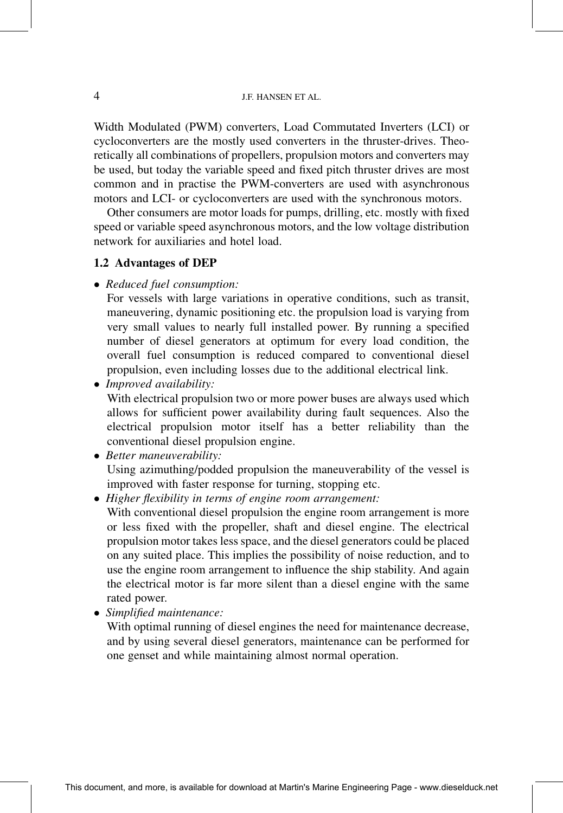Width Modulated (PWM) converters, Load Commutated Inverters (LCI) or cycloconverters are the mostly used converters in the thruster-drives. Theoretically all combinations of propellers, propulsion motors and converters may be used, but today the variable speed and fixed pitch thruster drives are most common and in practise the PWM-converters are used with asynchronous motors and LCI- or cycloconverters are used with the synchronous motors.

Other consumers are motor loads for pumps, drilling, etc. mostly with fixed speed or variable speed asynchronous motors, and the low voltage distribution network for auxiliaries and hotel load.

#### 1.2 Advantages of DEP

• Reduced fuel consumption:

For vessels with large variations in operative conditions, such as transit, maneuvering, dynamic positioning etc. the propulsion load is varying from very small values to nearly full installed power. By running a specified number of diesel generators at optimum for every load condition, the overall fuel consumption is reduced compared to conventional diesel propulsion, even including losses due to the additional electrical link.

- Improved availability: With electrical propulsion two or more power buses are always used which allows for sufficient power availability during fault sequences. Also the electrical propulsion motor itself has a better reliability than the conventional diesel propulsion engine.
- Better maneuverability: Using azimuthing/podded propulsion the maneuverability of the vessel is improved with faster response for turning, stopping etc.
- Higher flexibility in terms of engine room arrangement:

With conventional diesel propulsion the engine room arrangement is more or less fixed with the propeller, shaft and diesel engine. The electrical propulsion motor takes less space, and the diesel generators could be placed on any suited place. This implies the possibility of noise reduction, and to use the engine room arrangement to influence the ship stability. And again the electrical motor is far more silent than a diesel engine with the same rated power.

• Simplified maintenance:

With optimal running of diesel engines the need for maintenance decrease, and by using several diesel generators, maintenance can be performed for one genset and while maintaining almost normal operation.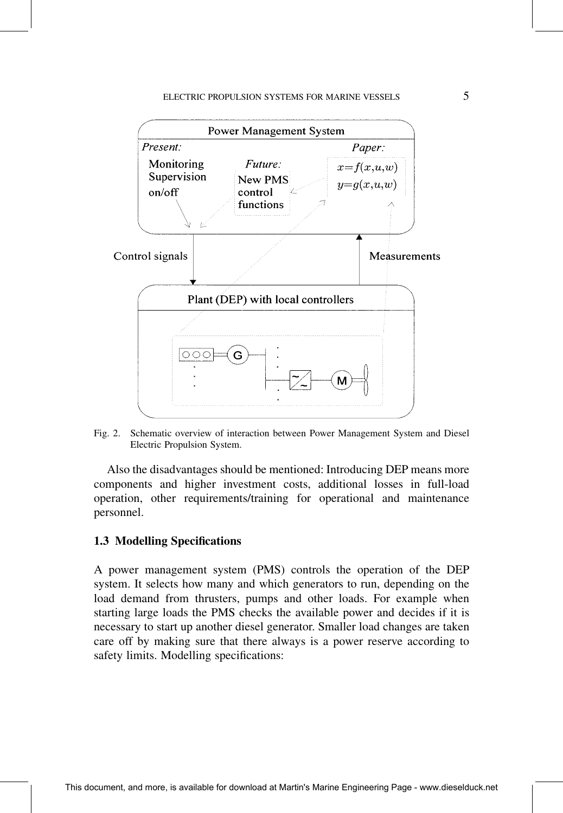# ELECTRIC PROPULSION SYSTEMS FOR MARINE VESSELS 5



Fig. 2. Schematic overview of interaction between Power Management System and Diesel Electric Propulsion System.

Also the disadvantages should be mentioned: Introducing DEP means more components and higher investment costs, additional losses in full-load operation, other requirements/training for operational and maintenance personnel.

#### 1.3 Modelling Specifications

A power management system (PMS) controls the operation of the DEP system. It selects how many and which generators to run, depending on the load demand from thrusters, pumps and other loads. For example when starting large loads the PMS checks the available power and decides if it is necessary to start up another diesel generator. Smaller load changes are taken care off by making sure that there always is a power reserve according to safety limits. Modelling specifications: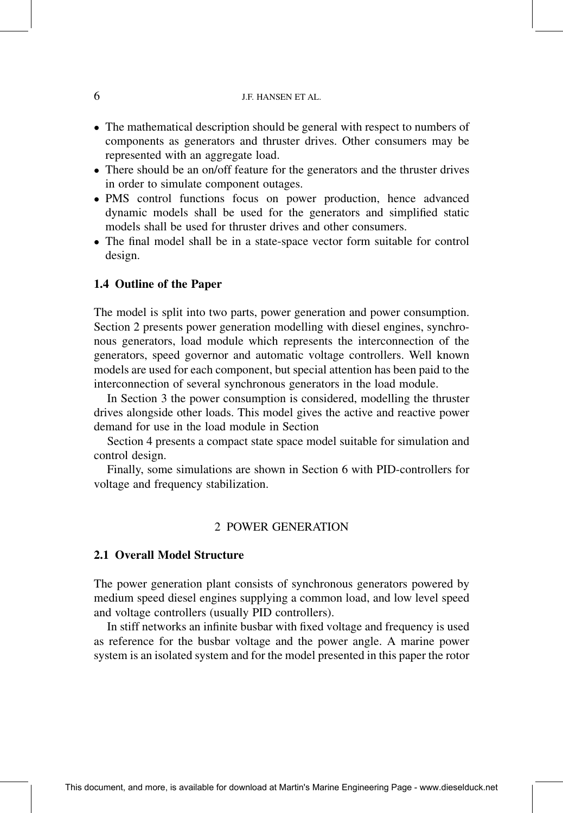- The mathematical description should be general with respect to numbers of components as generators and thruster drives. Other consumers may be represented with an aggregate load.
- There should be an on/off feature for the generators and the thruster drives in order to simulate component outages.
- PMS control functions focus on power production, hence advanced dynamic models shall be used for the generators and simplified static models shall be used for thruster drives and other consumers.
- The final model shall be in a state-space vector form suitable for control design.

#### 1.4 Outline of the Paper

The model is split into two parts, power generation and power consumption. Section 2 presents power generation modelling with diesel engines, synchronous generators, load module which represents the interconnection of the generators, speed governor and automatic voltage controllers. Well known models are used for each component, but special attention has been paid to the interconnection of several synchronous generators in the load module.

In Section 3 the power consumption is considered, modelling the thruster drives alongside other loads. This model gives the active and reactive power demand for use in the load module in Section

Section 4 presents a compact state space model suitable for simulation and control design.

Finally, some simulations are shown in Section 6 with PID-controllers for voltage and frequency stabilization.

#### 2 POWER GENERATION

#### 2.1 Overall Model Structure

The power generation plant consists of synchronous generators powered by medium speed diesel engines supplying a common load, and low level speed and voltage controllers (usually PID controllers).

In stiff networks an infinite busbar with fixed voltage and frequency is used as reference for the busbar voltage and the power angle. A marine power system is an isolated system and for the model presented in this paper the rotor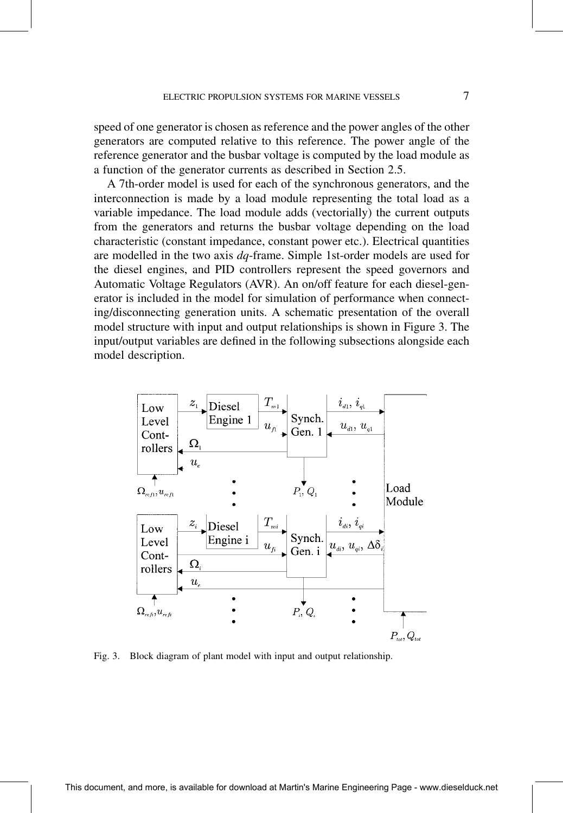speed of one generator is chosen as reference and the power angles of the other generators are computed relative to this reference. The power angle of the reference generator and the busbar voltage is computed by the load module as a function of the generator currents as described in Section 2.5.

A 7th-order model is used for each of the synchronous generators, and the interconnection is made by a load module representing the total load as a variable impedance. The load module adds (vectorially) the current outputs from the generators and returns the busbar voltage depending on the load characteristic (constant impedance, constant power etc.). Electrical quantities are modelled in the two axis dq-frame. Simple 1st-order models are used for the diesel engines, and PID controllers represent the speed governors and Automatic Voltage Regulators (AVR). An on/off feature for each diesel-generator is included in the model for simulation of performance when connecting/disconnecting generation units. A schematic presentation of the overall model structure with input and output relationships is shown in Figure 3. The input/output variables are defined in the following subsections alongside each model description.



Fig. 3. Block diagram of plant model with input and output relationship.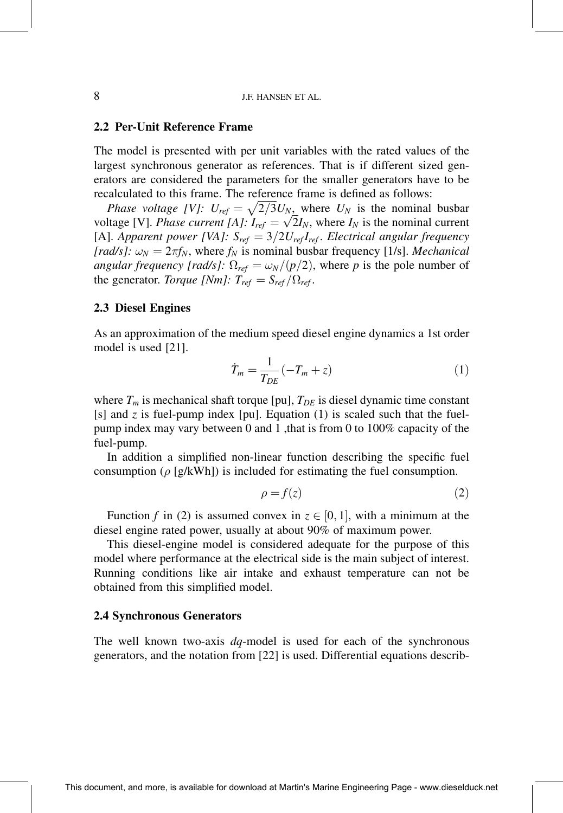#### 2.2 Per-Unit Reference Frame

The model is presented with per unit variables with the rated values of the largest synchronous generator as references. That is if different sized generators are considered the parameters for the smaller generators have to be recalculated to this frame. The reference frame is defined as follows:

*Phase voltage [V]:*  $U_{ref} = \sqrt{2/3} U_N$ , where  $U_N$  is the nominal busbar voltage [V]. Phase current [A]:  $I_{ref} = \sqrt{2}I_N$ , where  $I_N$  is the nominal current voltage [V]. Phase current [A]:  $I_{ref} = \sqrt{2}I_N$ , where  $I_N$  is the nominal current [A]. Apparent power [VA]:  $S_{ref} = 3/2U_{ref}I_{ref}$ . Electrical angular frequency [rad/s]:  $\omega_N = 2\pi f_N$ , where  $f_N$  is nominal busbar frequency [1/s]. Mechanical *angular frequency [rad/s]:*  $\Omega_{ref} = \frac{\omega_N}{p/2}$ , where p is the pole number of the generator. Torque [Nm]:  $T_{ref} = S_{ref} / \Omega_{ref}$ .

#### 2.3 Diesel Engines

As an approximation of the medium speed diesel engine dynamics a 1st order model is used [21].

$$
\dot{T}_m = \frac{1}{T_{DE}} \left( -T_m + z \right) \tag{1}
$$

where  $T_m$  is mechanical shaft torque [pu],  $T_{DE}$  is diesel dynamic time constant [s] and  $z$  is fuel-pump index [pu]. Equation (1) is scaled such that the fuelpump index may vary between 0 and 1 ,that is from 0 to 100% capacity of the fuel-pump.

In addition a simplified non-linear function describing the specific fuel consumption ( $\rho$  [g/kWh]) is included for estimating the fuel consumption.

$$
\rho = f(z) \tag{2}
$$

Function f in (2) is assumed convex in  $z \in [0, 1]$ , with a minimum at the diesel engine rated power, usually at about 90% of maximum power.

This diesel-engine model is considered adequate for the purpose of this model where performance at the electrical side is the main subject of interest. Running conditions like air intake and exhaust temperature can not be obtained from this simplified model.

# 2.4 Synchronous Generators

The well known two-axis  $dq$ -model is used for each of the synchronous generators, and the notation from [22] is used. Differential equations describ-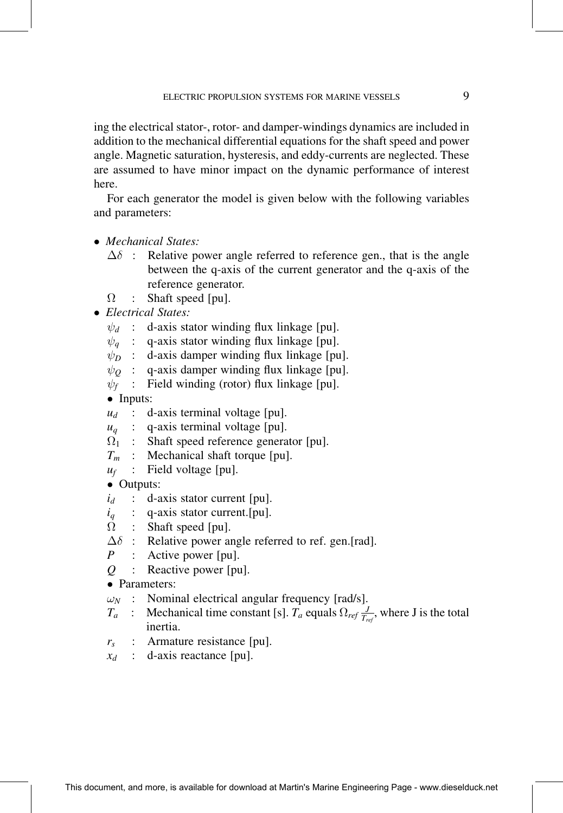ing the electrical stator-, rotor- and damper-windings dynamics are included in addition to the mechanical differential equations for the shaft speed and power angle. Magnetic saturation, hysteresis, and eddy-currents are neglected. These are assumed to have minor impact on the dynamic performance of interest here.

For each generator the model is given below with the following variables and parameters:

- Mechanical States:
	- $\Delta\delta$  : Relative power angle referred to reference gen., that is the angle between the q-axis of the current generator and the q-axis of the reference generator.
	- $\Omega$ : Shaft speed [pu].
- Electrical States:
	- $\psi_d$  : d-axis stator winding flux linkage [pu].
	- $\psi_a$  : q-axis stator winding flux linkage [pu].
	- $\psi_D$ : d-axis damper winding flux linkage [pu].
	- $\psi_0$ : q-axis damper winding flux linkage [pu].
	- $\psi_f$  : Field winding (rotor) flux linkage [pu].
	- Inputs:
	- $u_d$  : d-axis terminal voltage [pu].
	- $u_q$  : q-axis terminal voltage [pu].
	- $\Omega_{1}$ : Shaft speed reference generator [pu].
	- $T_m$  : Mechanical shaft torque [pu].
	- $u_f$  : Field voltage [pu].

• Outputs:

- $i_d$  : d-axis stator current [pu].
- $i_q$  : q-axis stator current. [pu].
- Ω : Shaft speed [pu].
- $\Delta \delta$  : Relative power angle referred to ref. gen.[rad].
- P : Active power [pu].
- Q : Reactive power [pu].
- Parameters:<br> $\omega_N$  : Nomin
- Nominal electrical angular frequency [rad/s].
- $T_a$  : Mechanical time constant [s].  $T_a$  equals  $\Omega_{ref} \frac{J}{T_{ref}}$ , where J is the total inertia.
- $r_s$  : Armature resistance [pu].
- $x_d$  : d-axis reactance [pu].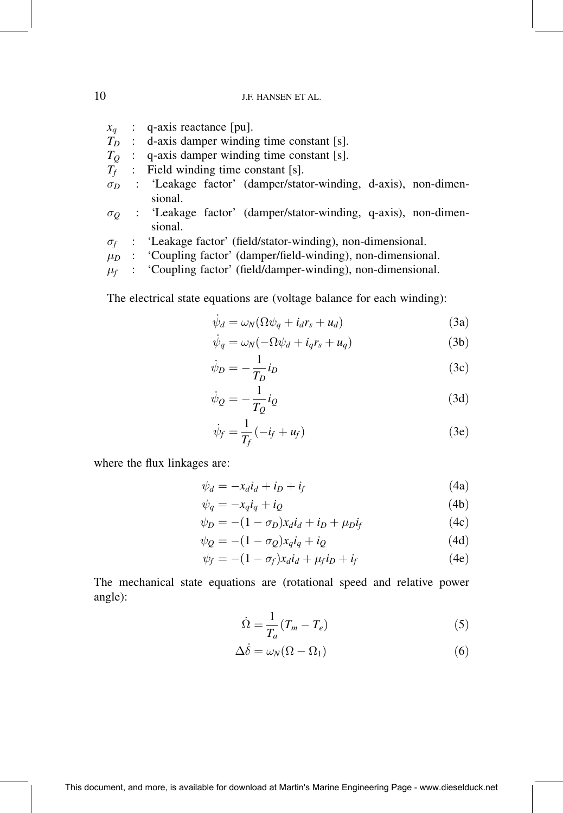- $x_q$  : q-axis reactance [pu].
- $T_D$  : d-axis damper winding time constant [s].
- $T<sub>O</sub>$ : q-axis damper winding time constant [s].
- $T_f$  : Field winding time constant [s].
- $\sigma_D$  : 'Leakage factor' (damper/stator-winding, d-axis), non-dimensional.
- $\sigma$  : 'Leakage factor' (damper/stator-winding, q-axis), non-dimensional.
- $\sigma_f$  : 'Leakage factor' (field/stator-winding), non-dimensional.<br>  $\mu_D$  : 'Coupling factor' (damper/field-winding), non-dimension
- $\mu_D$  : 'Coupling factor' (damper/field-winding), non-dimensional.
- $\mu_f$  : 'Coupling factor' (field/damper-winding), non-dimensional.

The electrical state equations are (voltage balance for each winding):

$$
\dot{\psi}_d = \omega_N (\Omega \psi_q + i_d r_s + u_d) \tag{3a}
$$

$$
\dot{\psi}_q = \omega_N(-\Omega \psi_d + i_q r_s + u_q) \tag{3b}
$$

$$
\dot{\psi}_D = -\frac{1}{T_D} i_D \tag{3c}
$$

$$
\dot{\psi}_Q = -\frac{1}{T_Q} i_Q \tag{3d}
$$

$$
\dot{\psi}_f = \frac{1}{T_f}(-i_f + u_f) \tag{3e}
$$

where the flux linkages are:

$$
\psi_d = -x_d i_d + i_D + i_f \tag{4a}
$$

$$
\psi_q = -x_q i_q + i_Q \tag{4b}
$$

$$
\psi_D = -(1 - \sigma_D)x_d i_d + i_D + \mu_D i_f \tag{4c}
$$

$$
\psi_Q = -(1 - \sigma_Q) x_q i_q + i_Q \tag{4d}
$$

$$
\psi_f = -(1 - \sigma_f)x_d i_d + \mu_f i_D + i_f \tag{4e}
$$

The mechanical state equations are (rotational speed and relative power angle):

$$
\dot{\Omega} = \frac{1}{T_a} (T_m - T_e) \tag{5}
$$

$$
\Delta \dot{\delta} = \omega_N (\Omega - \Omega_1) \tag{6}
$$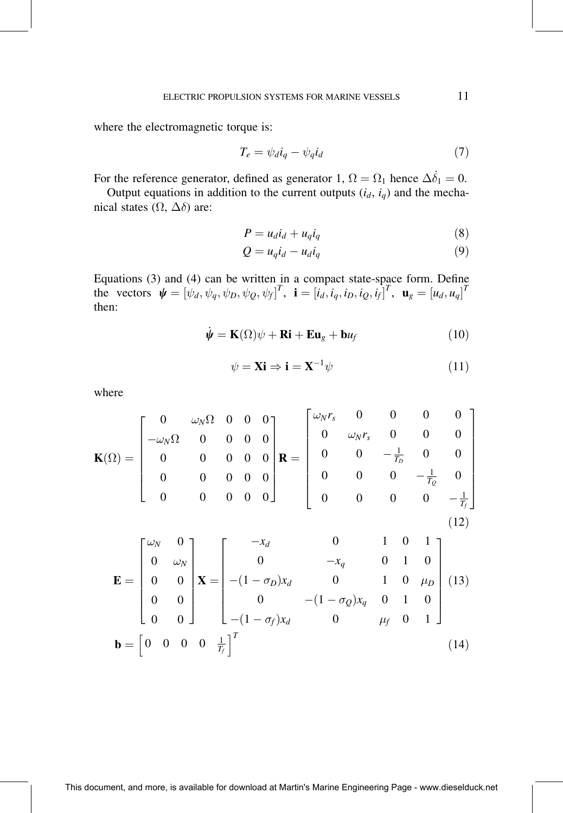where the electromagnetic torque is:

$$
T_e = \psi_d i_q - \psi_q i_d \tag{7}
$$

For the reference generator, defined as generator 1,  $\Omega = \Omega_1$  hence  $\Delta \dot{\delta}_1 = 0$ .

Output equations in addition to the current outputs  $(i_d, i_q)$  and the mechanical states  $(\Omega, \Delta\delta)$  are:

$$
P = u_d i_d + u_q i_q \tag{8}
$$

$$
Q = u_q i_d - u_d i_q \tag{9}
$$

Equations (3) and (4) can be written in a compact state-space form. Define<br>the vectors  $\boldsymbol{\psi} = [\psi_d, \psi_q, \psi_D, \psi_Q, \psi_f]^T$ ,  $\mathbf{i} = [i_d, i_q, i_D, i_Q, i_f]^T$ ,  $\mathbf{u}_g = [u_d, u_q]^T$ then:

$$
\dot{\psi} = \mathbf{K}(\Omega)\psi + \mathbf{Ri} + \mathbf{Eu}_g + \mathbf{b}u_f \tag{10}
$$

$$
\psi = \mathbf{Xi} \Rightarrow \mathbf{i} = \mathbf{X}^{-1} \psi \tag{11}
$$

where

$$
\mathbf{K}(\Omega) = \begin{bmatrix} 0 & \omega_N \Omega & 0 & 0 & 0 \\ -\omega_N \Omega & 0 & 0 & 0 & 0 \\ 0 & 0 & 0 & 0 & 0 \\ 0 & 0 & 0 & 0 & 0 \\ 0 & 0 & 0 & 0 & 0 \end{bmatrix} \mathbf{R} = \begin{bmatrix} \omega_N r_s & 0 & 0 & 0 & 0 \\ 0 & \omega_N r_s & 0 & 0 & 0 \\ 0 & 0 & -\frac{1}{T_D} & 0 & 0 \\ 0 & 0 & 0 & -\frac{1}{T_Q} & 0 \\ 0 & 0 & 0 & 0 & -\frac{1}{T_f} \end{bmatrix}
$$
(12)

$$
\mathbf{E} = \begin{bmatrix} \omega_N & 0 \\ 0 & \omega_N \\ 0 & 0 \\ 0 & 0 \\ 0 & 0 \end{bmatrix} \mathbf{X} = \begin{bmatrix} -x_d & 0 & 1 & 0 & 1 \\ 0 & -x_q & 0 & 1 & 0 \\ -(1 - \sigma_D)x_d & 0 & 1 & 0 & \mu_D \\ 0 & -(1 - \sigma_Q)x_q & 0 & 1 & 0 \\ -(1 - \sigma_f)x_d & 0 & \mu_f & 0 & 1 \end{bmatrix}
$$
(13)  

$$
\mathbf{b} = \begin{bmatrix} 0 & 0 & 0 & 0 & \frac{1}{T_f} \end{bmatrix}^T
$$
(14)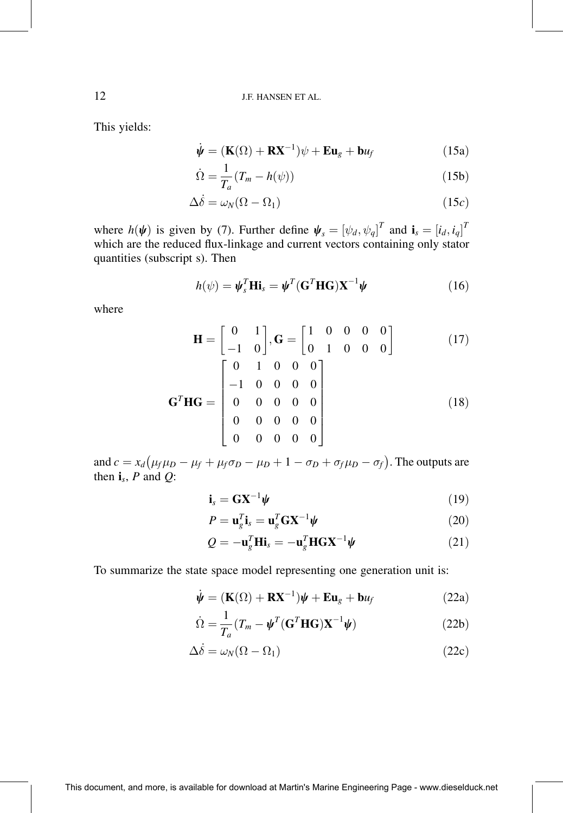This yields:

$$
\dot{\psi} = (\mathbf{K}(\Omega) + \mathbf{R}\mathbf{X}^{-1})\psi + \mathbf{E}\mathbf{u}_g + \mathbf{b}\mathbf{u}_f
$$
 (15a)

$$
\dot{\Omega} = \frac{1}{T_a} (T_m - h(\psi)) \tag{15b}
$$

$$
\Delta \dot{\delta} = \omega_N (\Omega - \Omega_1) \tag{15c}
$$

where  $h(\psi)$  is given by (7). Further define  $\psi_s = [\psi_d, \psi_q]^T$  and  $\mathbf{i}_s = [i_d, i_q]^T$ <br>which are the reduced flux-linkage and current vectors containing only stator quantities (subscript s). Then

$$
h(\psi) = \psi_s^T \mathbf{Hi}_s = \psi^T (\mathbf{G}^T \mathbf{HG}) \mathbf{X}^{-1} \psi
$$
 (16)

where

$$
\mathbf{H} = \begin{bmatrix} 0 & 1 \\ -1 & 0 \end{bmatrix}, \mathbf{G} = \begin{bmatrix} 1 & 0 & 0 & 0 & 0 \\ 0 & 1 & 0 & 0 & 0 \end{bmatrix}
$$
(17)  

$$
\mathbf{G}^{T} \mathbf{H} \mathbf{G} = \begin{bmatrix} 0 & 1 & 0 & 0 & 0 \\ -1 & 0 & 0 & 0 & 0 \\ 0 & 0 & 0 & 0 & 0 \\ 0 & 0 & 0 & 0 & 0 \\ 0 & 0 & 0 & 0 & 0 \end{bmatrix}
$$
(18)

and  $c = x_d (\mu_f \mu_D - \mu_f + \mu_f \sigma_D - \mu_D + 1 - \sigma_D + \sigma_f \mu_D - \sigma_f)$ . The outputs are then  $\mathbf{i}_s$ , P and Q:

$$
\mathbf{i}_s = \mathbf{G} \mathbf{X}^{-1} \boldsymbol{\psi} \tag{19}
$$

$$
P = \mathbf{u}_g^T \mathbf{i}_s = \mathbf{u}_g^T \mathbf{G} \mathbf{X}^{-1} \boldsymbol{\psi}
$$
 (20)

$$
Q = -\mathbf{u}_g^T \mathbf{H} \mathbf{i}_s = -\mathbf{u}_g^T \mathbf{H} \mathbf{G} \mathbf{X}^{-1} \boldsymbol{\psi}
$$
 (21)

To summarize the state space model representing one generation unit is:

$$
\dot{\psi} = (\mathbf{K}(\Omega) + \mathbf{R}\mathbf{X}^{-1})\psi + \mathbf{E}\mathbf{u}_g + \mathbf{b}u_f
$$
 (22a)

$$
\dot{\Omega} = \frac{1}{T_a} (T_m - \boldsymbol{\psi}^T (\mathbf{G}^T \mathbf{H} \mathbf{G}) \mathbf{X}^{-1} \boldsymbol{\psi})
$$
(22b)

$$
\Delta \dot{\delta} = \omega_N (\Omega - \Omega_1) \tag{22c}
$$

This document, and more, is available for download at Martin's Marine Engineering Page - www.dieselduck.net

12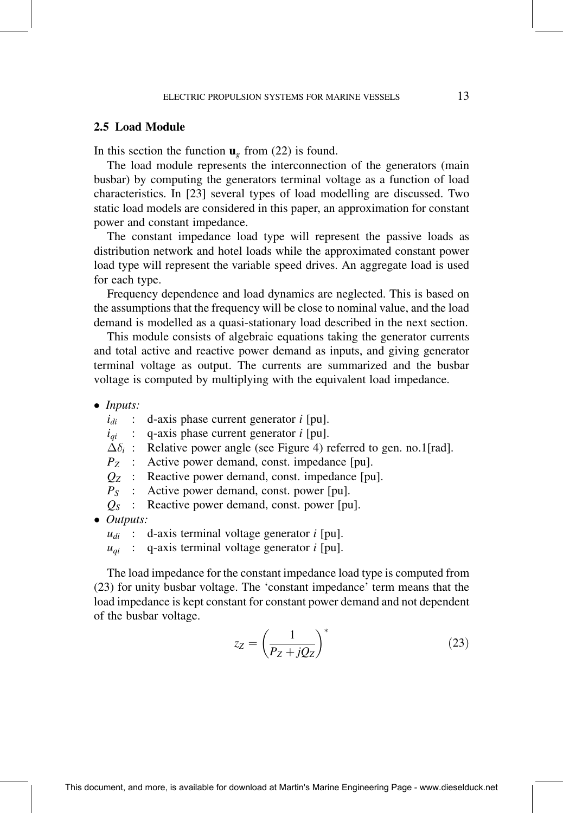#### 2.5 Load Module

In this section the function  $\mathbf{u}_g$  from (22) is found.

The load module represents the interconnection of the generators (main busbar) by computing the generators terminal voltage as a function of load characteristics. In [23] several types of load modelling are discussed. Two static load models are considered in this paper, an approximation for constant power and constant impedance.

The constant impedance load type will represent the passive loads as distribution network and hotel loads while the approximated constant power load type will represent the variable speed drives. An aggregate load is used for each type.

Frequency dependence and load dynamics are neglected. This is based on the assumptions that the frequency will be close to nominal value, and the load demand is modelled as a quasi-stationary load described in the next section.

This module consists of algebraic equations taking the generator currents and total active and reactive power demand as inputs, and giving generator terminal voltage as output. The currents are summarized and the busbar voltage is computed by multiplying with the equivalent load impedance.

• Inputs:

 $i_{di}$  : d-axis phase current generator i [pu].

 $i_{qi}$  : q-axis phase current generator *i* [pu].

 $\Delta \delta_i$ : Relative power angle (see Figure 4) referred to gen. no.1[rad].

 $P_Z$  : Active power demand, const. impedance [pu].

- $Q_Z$  : Reactive power demand, const. impedance [pu].
- $P<sub>S</sub>$  : Active power demand, const. power [pu].
- $Q_{S}$  : Reactive power demand, const. power [pu].
- Outputs:<br> $u_{di}$ :

 $u_{di}$  : d-axis terminal voltage generator *i* [pu].

 $u_{qi}$  : q-axis terminal voltage generator *i* [pu].

The load impedance for the constant impedance load type is computed from (23) for unity busbar voltage. The `constant impedance' term means that the load impedance is kept constant for constant power demand and not dependent of the busbar voltage.

$$
z_Z = \left(\frac{1}{P_Z + jQ_Z}\right)^*
$$
\n(23)

This document, and more, is available for download at Martin's Marine Engineering Page - www.dieselduck.net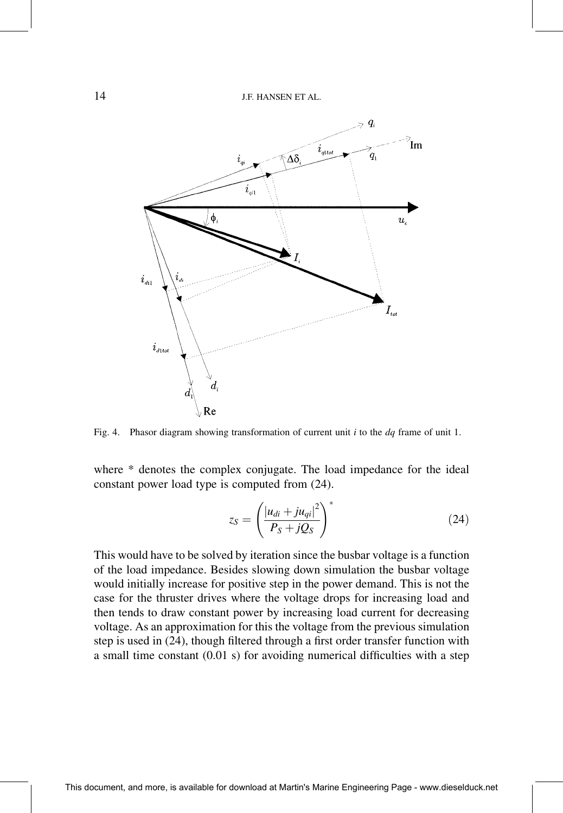

Fig. 4. Phasor diagram showing transformation of current unit  $i$  to the  $dq$  frame of unit 1.

where \* denotes the complex conjugate. The load impedance for the ideal constant power load type is computed from (24).

$$
z_S = \left(\frac{|u_{di} + ju_{qi}|^2}{P_S + jQ_S}\right)^*
$$
\n(24)

This would have to be solved by iteration since the busbar voltage is a function of the load impedance. Besides slowing down simulation the busbar voltage would initially increase for positive step in the power demand. This is not the case for the thruster drives where the voltage drops for increasing load and then tends to draw constant power by increasing load current for decreasing voltage. As an approximation for this the voltage from the previous simulation step is used in (24), though filtered through a first order transfer function with a small time constant  $(0.01 \text{ s})$  for avoiding numerical difficulties with a step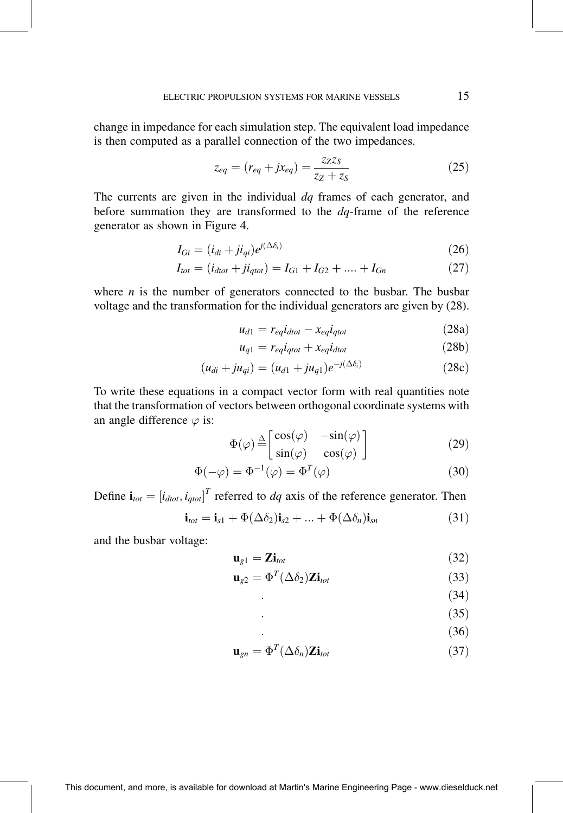change in impedance for each simulation step. The equivalent load impedance is then computed as a parallel connection of the two impedances.

$$
z_{eq} = (r_{eq} + jx_{eq}) = \frac{z_{Z}z_{S}}{z_{Z} + z_{S}}
$$
(25)

The currents are given in the individual  $dq$  frames of each generator, and before summation they are transformed to the  $dq$ -frame of the reference generator as shown in Figure 4.

$$
I_{Gi} = (i_{di} + ji_{qi})e^{i(\Delta \delta_i)}
$$
\n(26)

$$
I_{tot} = (i_{dtot} + ji_{qtot}) = I_{G1} + I_{G2} + \dots + I_{Gn}
$$
 (27)

where  $n$  is the number of generators connected to the busbar. The busbar voltage and the transformation for the individual generators are given by (28).

$$
u_{d1} = r_{eq}i_{dot} - x_{eq}i_{qtot} \tag{28a}
$$

$$
u_{q1} = r_{eq}i_{qtot} + x_{eq}i_{dtot}
$$
 (28b)

$$
(u_{di} + ju_{qi}) = (u_{d1} + ju_{q1})e^{-j(\Delta\delta_i)}
$$
\n(28c)

To write these equations in a compact vector form with real quantities note that the transformation of vectors between orthogonal coordinate systems with an angle difference  $\varphi$  is:

$$
\Phi(\varphi) \stackrel{\Delta}{=} \begin{bmatrix} \cos(\varphi) & -\sin(\varphi) \\ \sin(\varphi) & \cos(\varphi) \end{bmatrix}
$$
 (29)

$$
\Phi(-\varphi) = \Phi^{-1}(\varphi) = \Phi^{T}(\varphi)
$$
\n(30)

Define  $\mathbf{i}_{tot} = [i_{dot}, i_{dot}]^T$  referred to dq axis of the reference generator. Then

$$
\mathbf{i}_{tot} = \mathbf{i}_{s1} + \Phi(\Delta \delta_2)\mathbf{i}_{s2} + \dots + \Phi(\Delta \delta_n)\mathbf{i}_{sn}
$$
 (31)

and the busbar voltage:

$$
\mathbf{u}_{g1} = \mathbf{Zi}_{tot} \tag{32}
$$

$$
\mathbf{u}_{g2} = \Phi^T(\Delta \delta_2) \mathbf{Z} \mathbf{i}_{tot} \tag{33}
$$

 $(34)$ 

$$
\tag{35}
$$

$$
(36)
$$

$$
\mathbf{u}_{gn} = \Phi^T(\Delta \delta_n) \mathbf{Zi}_{tot} \tag{37}
$$

15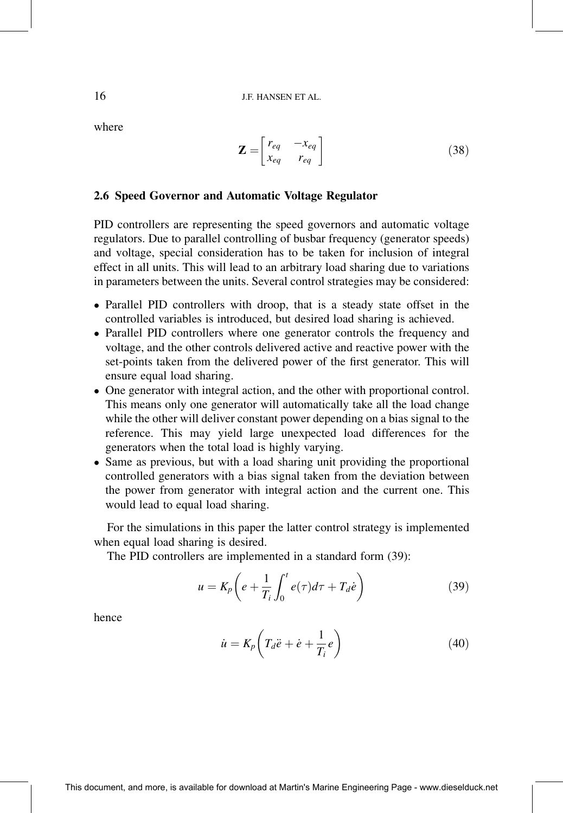where

$$
\mathbf{Z} = \begin{bmatrix} r_{eq} & -x_{eq} \\ x_{eq} & r_{eq} \end{bmatrix} \tag{38}
$$

#### 2.6 Speed Governor and Automatic Voltage Regulator

PID controllers are representing the speed governors and automatic voltage regulators. Due to parallel controlling of busbar frequency (generator speeds) and voltage, special consideration has to be taken for inclusion of integral effect in all units. This will lead to an arbitrary load sharing due to variations in parameters between the units. Several control strategies may be considered:

- Parallel PID controllers with droop, that is a steady state offset in the controlled variables is introduced, but desired load sharing is achieved.
- Parallel PID controllers where one generator controls the frequency and voltage, and the other controls delivered active and reactive power with the set-points taken from the delivered power of the first generator. This will ensure equal load sharing.
- One generator with integral action, and the other with proportional control. This means only one generator will automatically take all the load change while the other will deliver constant power depending on a bias signal to the reference. This may yield large unexpected load differences for the generators when the total load is highly varying.
- Same as previous, but with a load sharing unit providing the proportional controlled generators with a bias signal taken from the deviation between the power from generator with integral action and the current one. This would lead to equal load sharing.

For the simulations in this paper the latter control strategy is implemented when equal load sharing is desired.

The PID controllers are implemented in a standard form (39):

$$
u = K_p \left( e + \frac{1}{T_i} \int_0^t e(\tau) d\tau + T_d \dot{e} \right)
$$
 (39)

hence

$$
\dot{u} = K_p \left( T_d \ddot{e} + \dot{e} + \frac{1}{T_i} e \right) \tag{40}
$$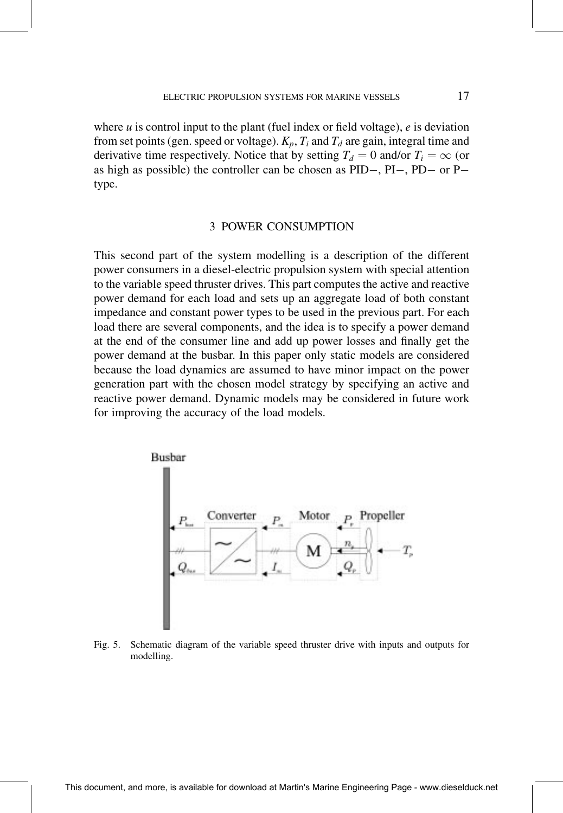where  $u$  is control input to the plant (fuel index or field voltage),  $e$  is deviation from set points (gen. speed or voltage).  $K_p$ ,  $T_i$  and  $T_d$  are gain, integral time and derivative time respectively. Notice that by setting  $T_d = 0$  and/or  $T_i = \infty$  (or as high as possible) the controller can be chosen as  $PID-$ ,  $PI-$ ,  $PD-$  or  $P$ type.

#### 3 POWER CONSUMPTION

This second part of the system modelling is a description of the different power consumers in a diesel-electric propulsion system with special attention to the variable speed thruster drives. This part computes the active and reactive power demand for each load and sets up an aggregate load of both constant impedance and constant power types to be used in the previous part. For each load there are several components, and the idea is to specify a power demand at the end of the consumer line and add up power losses and finally get the power demand at the busbar. In this paper only static models are considered because the load dynamics are assumed to have minor impact on the power generation part with the chosen model strategy by specifying an active and reactive power demand. Dynamic models may be considered in future work for improving the accuracy of the load models.



Fig. 5. Schematic diagram of the variable speed thruster drive with inputs and outputs for modelling.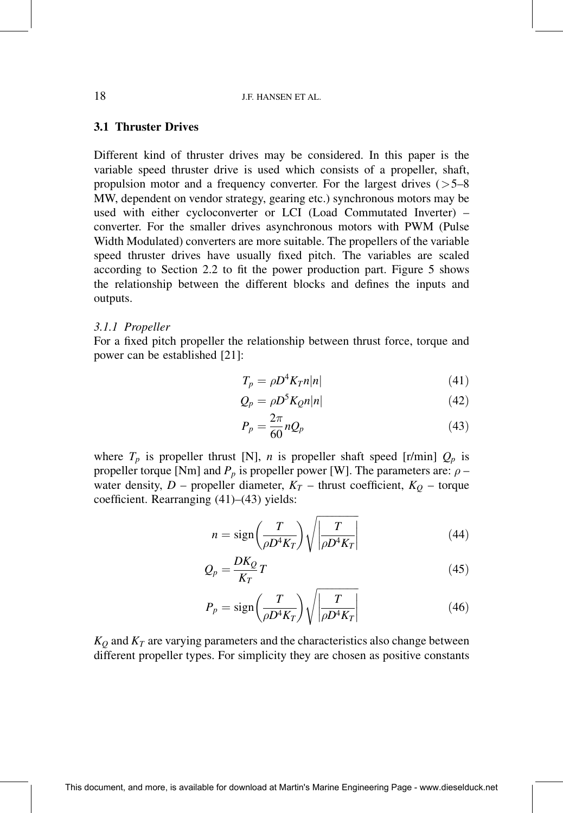#### 3.1 Thruster Drives

Different kind of thruster drives may be considered. In this paper is the variable speed thruster drive is used which consists of a propeller, shaft, propulsion motor and a frequency converter. For the largest drives  $(5-8)$ MW, dependent on vendor strategy, gearing etc.) synchronous motors may be used with either cycloconverter or LCI (Load Commutated Inverter) converter. For the smaller drives asynchronous motors with PWM (Pulse Width Modulated) converters are more suitable. The propellers of the variable speed thruster drives have usually fixed pitch. The variables are scaled according to Section 2.2 to fit the power production part. Figure 5 shows the relationship between the different blocks and defines the inputs and outputs.

#### 3.1.1 Propeller

For a fixed pitch propeller the relationship between thrust force, torque and power can be established [21]:

$$
T_p = \rho D^4 K_T n |n| \tag{41}
$$

$$
Q_p = \rho D^5 K_2 n |n| \tag{42}
$$

$$
P_p = \frac{2\pi}{60} n Q_p \tag{43}
$$

where  $T_p$  is propeller thrust [N], *n* is propeller shaft speed [r/min]  $Q_p$  is propeller torque [Nm] and  $P_p$  is propeller power [W]. The parameters are:  $\rho$  – water density, D – propeller diameter,  $K_T$  – thrust coefficient,  $K_Q$  – torque coefficient. Rearranging  $(41)–(43)$  yields:

$$
n = sign\left(\frac{T}{\rho D^4 K_T}\right) \sqrt{\left|\frac{T}{\rho D^4 K_T}\right|} \tag{44}
$$

$$
Q_p = \frac{DK_Q}{K_T}T\tag{45}
$$

$$
P_p = \text{sign}\left(\frac{T}{\rho D^4 K_T}\right) \sqrt{\left|\frac{T}{\rho D^4 K_T}\right|} \tag{46}
$$

 $K_Q$  and  $K_T$  are varying parameters and the characteristics also change between different propeller types. For simplicity they are chosen as positive constants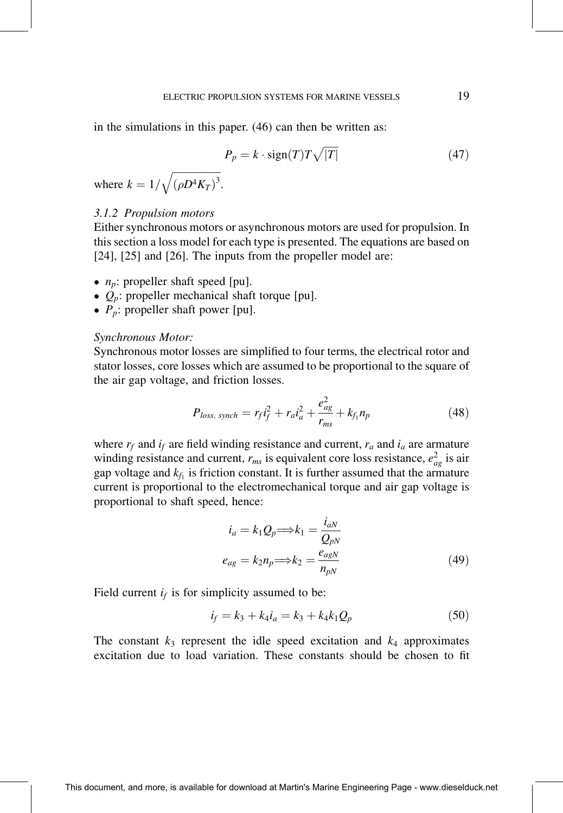in the simulations in this paper. (46) can then be written as:

$$
P_p = k \cdot \text{sign}(T) T \sqrt{|T|}
$$
\n(47)

where  $k = 1/\sqrt{(\rho D^4 K_T)^3}$ .

#### 3.1.2 Propulsion motors

Either synchronous motors or asynchronous motors are used for propulsion. In this section a loss model for each type is presented. The equations are based on [24], [25] and [26]. The inputs from the propeller model are:

- $n_p$ : propeller shaft speed [pu].
- $Q_p$ : propeller mechanical shaft torque [pu].
- $P_p$ : propeller shaft power [pu].

#### Synchronous Motor:

Synchronous motor losses are simplified to four terms, the electrical rotor and stator losses, core losses which are assumed to be proportional to the square of the air gap voltage, and friction losses.

$$
P_{loss, synch} = r_f i_f^2 + r_a i_a^2 + \frac{e_{ag}^2}{r_{ms}} + k_{f_1} n_p \tag{48}
$$

where  $r_f$  and  $i_f$  are field winding resistance and current,  $r_a$  and  $i_a$  are armature winding resistance and current,  $r_{ms}$  is equivalent core loss resistance,  $e_{ag}^2$  is air gap voltage and  $k_f$  is friction constant. It is further assumed that the armature current is proportional to the electromechanical torque and air gap voltage is proportional to shaft speed, hence:

$$
i_a = k_1 Q_p \Longrightarrow k_1 = \frac{i_{aN}}{Q_{pN}}
$$
  

$$
e_{ag} = k_2 n_p \Longrightarrow k_2 = \frac{e_{agN}}{n_{pN}}
$$
 (49)

Field current  $i_f$  is for simplicity assumed to be:

$$
i_f = k_3 + k_4 i_a = k_3 + k_4 k_1 Q_p \tag{50}
$$

The constant  $k_3$  represent the idle speed excitation and  $k_4$  approximates excitation due to load variation. These constants should be chosen to fit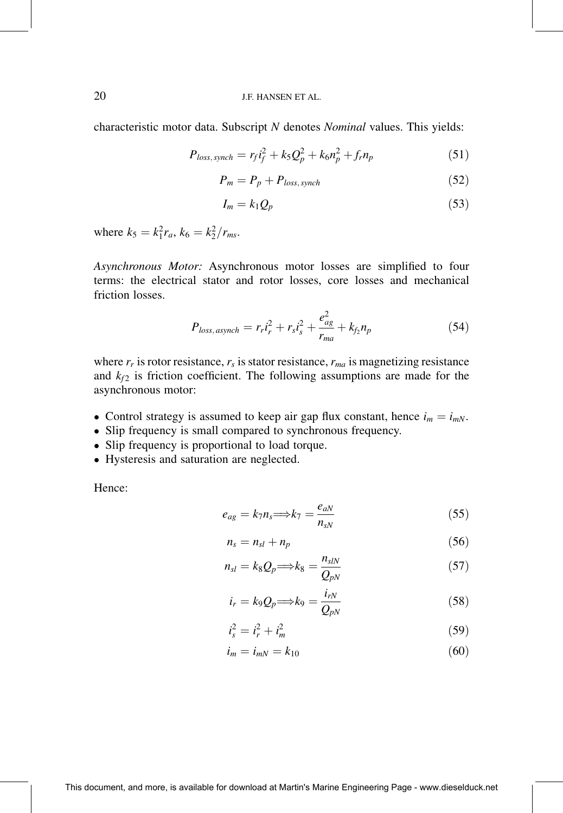characteristic motor data. Subscript N denotes Nominal values. This yields:

$$
P_{loss, synch} = r_f i_f^2 + k_S Q_p^2 + k_6 n_p^2 + f_r n_p \tag{51}
$$

$$
P_m = P_p + P_{loss, synch} \tag{52}
$$

$$
I_m = k_1 Q_p \tag{53}
$$

where  $k_5 = k_1^2 r_a$ ,  $k_6 = k_2^2 / r_{ms}$ .

Asynchronous Motor: Asynchronous motor losses are simplified to four terms: the electrical stator and rotor losses, core losses and mechanical friction losses.

$$
P_{loss,asynch} = r_r i_r^2 + r_s i_s^2 + \frac{e_{ag}^2}{r_{ma}} + k_{f_2} n_p \tag{54}
$$

where  $r_r$  is rotor resistance,  $r_s$  is stator resistance,  $r_{ma}$  is magnetizing resistance and  $k_{f2}$  is friction coefficient. The following assumptions are made for the asynchronous motor:

- Control strategy is assumed to keep air gap flux constant, hence  $i_m = i_{mN}$ .
- Slip frequency is small compared to synchronous frequency.
- Slip frequency is proportional to load torque.
- Hysteresis and saturation are neglected.

Hence:

$$
e_{ag} = k_7 n_s \Longrightarrow k_7 = \frac{e_{aN}}{n_{sN}}\tag{55}
$$

$$
n_s = n_{sl} + n_p \tag{56}
$$

$$
n_{sl} = k_8 Q_p \Longrightarrow k_8 = \frac{n_{slN}}{Q_{pN}} \tag{57}
$$

$$
i_r = k_9 Q_p \Longrightarrow k_9 = \frac{i_{rN}}{Q_{pN}}
$$
\n(58)

$$
i_s^2 = i_r^2 + i_m^2 \tag{59}
$$

$$
i_m = i_{mN} = k_{10} \tag{60}
$$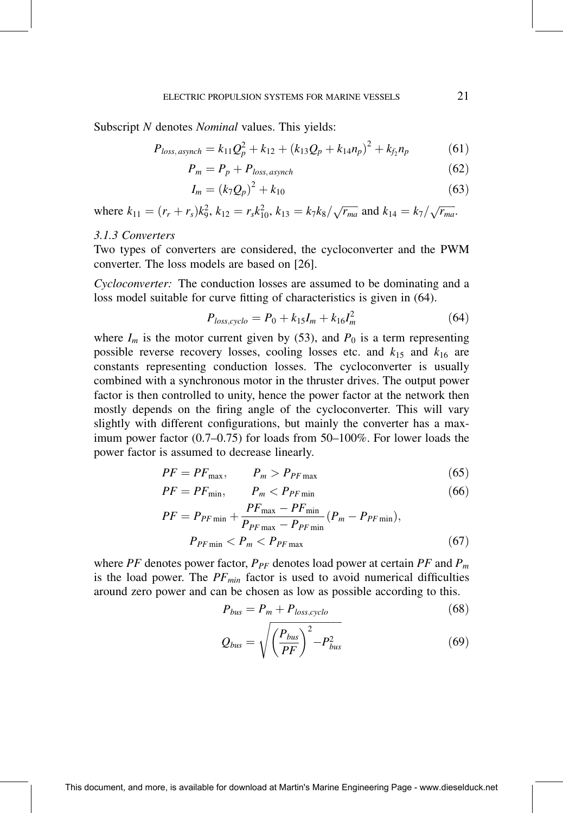Subscript N denotes *Nominal* values. This yields:

$$
P_{loss,asynch} = k_{11}Q_p^2 + k_{12} + (k_{13}Q_p + k_{14}n_p)^2 + k_{f_2}n_p \tag{61}
$$

$$
P_m = P_p + P_{loss, asympt}
$$
\n<sup>(62)</sup>

$$
I_m = (k_7 Q_p)^2 + k_{10} \tag{63}
$$

where  $k_{11} = (r_r + r_s)k_9^2$ ,  $k_{12} = r_s k_{10}^2$ ,  $k_{13} = k_7k_8/\sqrt{r_{ma}}$  and  $k_{14} = k_7/\sqrt{r_{ma}}$ .

#### 3.1.3 Converters

Two types of converters are considered, the cycloconverter and the PWM converter. The loss models are based on [26].

Cycloconverter: The conduction losses are assumed to be dominating and a loss model suitable for curve fitting of characteristics is given in (64).

$$
P_{loss,cyclo} = P_0 + k_{15}I_m + k_{16}I_m^2
$$
 (64)

where  $I_m$  is the motor current given by (53), and  $P_0$  is a term representing possible reverse recovery losses, cooling losses etc. and  $k_{15}$  and  $k_{16}$  are constants representing conduction losses. The cycloconverter is usually combined with a synchronous motor in the thruster drives. The output power factor is then controlled to unity, hence the power factor at the network then mostly depends on the firing angle of the cycloconverter. This will vary slightly with different configurations, but mainly the converter has a maximum power factor  $(0.7–0.75)$  for loads from  $50–100\%$ . For lower loads the power factor is assumed to decrease linearly.

$$
PF = PF_{\text{max}}, \qquad P_m > P_{PF \text{max}} \tag{65}
$$

$$
PF = PF_{\min}, \qquad P_m < P_{PF\min} \tag{66}
$$

$$
PF = P_{PF\min} + \frac{PF_{\max} - PF_{\min}}{P_{PF\max} - P_{PF\min}} (P_m - P_{PF\min}),
$$
  

$$
P_{PF\min} < P_m < P_{PF\max} \tag{67}
$$

where PF denotes power factor,  $P_{PF}$  denotes load power at certain PF and  $P_m$ is the load power. The  $PF_{min}$  factor is used to avoid numerical difficulties around zero power and can be chosen as low as possible according to this.

$$
P_{bus} = P_m + P_{loss,cyclo} \tag{68}
$$

$$
Q_{bus} = \sqrt{\left(\frac{P_{bus}}{PF}\right)^2 - P_{bus}^2}
$$
 (69)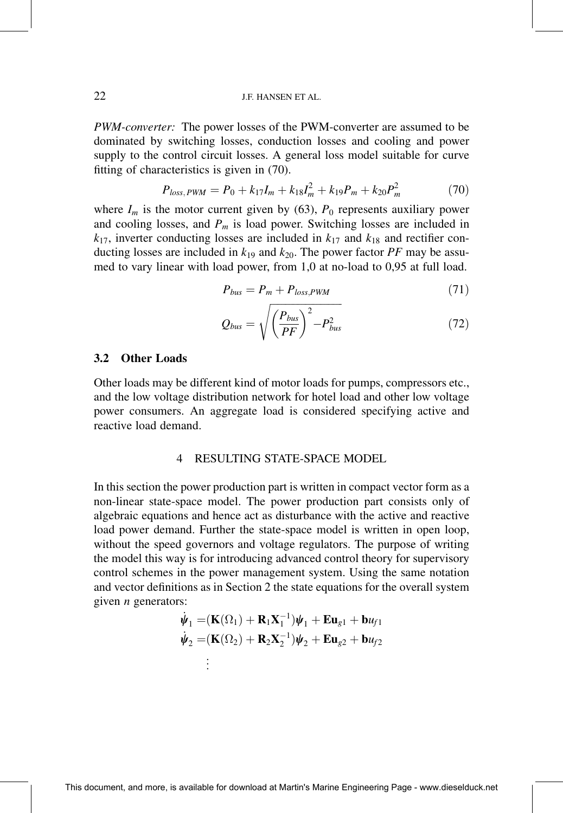PWM-converter: The power losses of the PWM-converter are assumed to be dominated by switching losses, conduction losses and cooling and power supply to the control circuit losses. A general loss model suitable for curve fitting of characteristics is given in  $(70)$ .

$$
P_{loss, PWM} = P_0 + k_{17}I_m + k_{18}I_m^2 + k_{19}P_m + k_{20}P_m^2 \tag{70}
$$

where  $I_m$  is the motor current given by (63),  $P_0$  represents auxiliary power and cooling losses, and  $P_m$  is load power. Switching losses are included in  $k_{17}$ , inverter conducting losses are included in  $k_{17}$  and  $k_{18}$  and rectifier conducting losses are included in  $k_{19}$  and  $k_{20}$ . The power factor PF may be assumed to vary linear with load power, from 1,0 at no-load to 0,95 at full load.

$$
P_{bus} = P_m + P_{loss,PWM} \tag{71}
$$

$$
Q_{bus} = \sqrt{\left(\frac{P_{bus}}{PF}\right)^2 - P_{bus}^2} \tag{72}
$$

#### 3.2 Other Loads

Other loads may be different kind of motor loads for pumps, compressors etc., and the low voltage distribution network for hotel load and other low voltage power consumers. An aggregate load is considered specifying active and reactive load demand.

#### 4 RESULTING STATE-SPACE MODEL

In this section the power production part is written in compact vector form as a non-linear state-space model. The power production part consists only of algebraic equations and hence act as disturbance with the active and reactive load power demand. Further the state-space model is written in open loop, without the speed governors and voltage regulators. The purpose of writing the model this way is for introducing advanced control theory for supervisory control schemes in the power management system. Using the same notation and vector definitions as in Section 2 the state equations for the overall system given  $n$  generators:

$$
\dot{\psi}_1 = (\mathbf{K}(\Omega_1) + \mathbf{R}_1 \mathbf{X}_1^{-1})\psi_1 + \mathbf{E}\mathbf{u}_{g1} + \mathbf{b}\psi_{f1}
$$
\n
$$
\dot{\psi}_2 = (\mathbf{K}(\Omega_2) + \mathbf{R}_2 \mathbf{X}_2^{-1})\psi_2 + \mathbf{E}\mathbf{u}_{g2} + \mathbf{b}\psi_{f2}
$$
\n
$$
\vdots
$$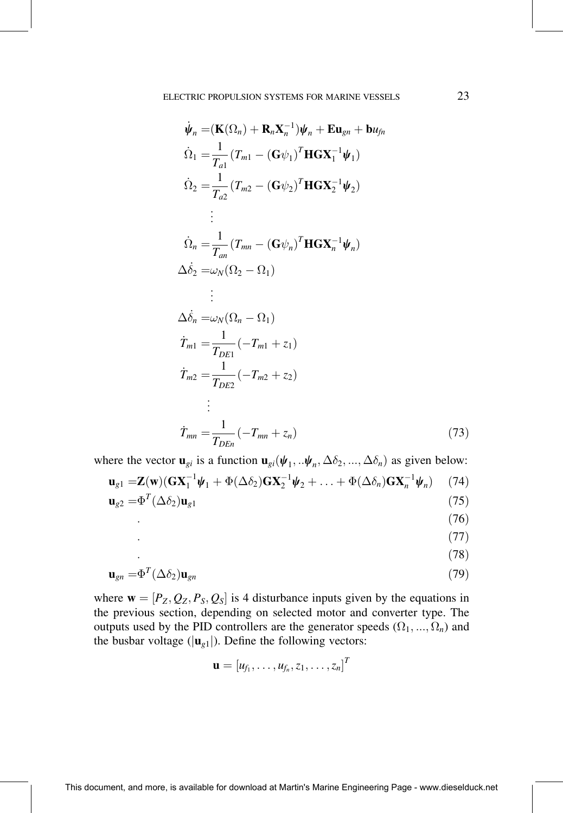$$
\dot{\psi}_n = (\mathbf{K}(\Omega_n) + \mathbf{R}_n \mathbf{X}_n^{-1}) \psi_n + \mathbf{E} \mathbf{u}_{gn} + \mathbf{b} u_{fn}
$$
\n
$$
\dot{\Omega}_1 = \frac{1}{T_{a1}} (T_{m1} - (\mathbf{G} \psi_1)^T \mathbf{H} \mathbf{G} \mathbf{X}_1^{-1} \psi_1)
$$
\n
$$
\dot{\Omega}_2 = \frac{1}{T_{a2}} (T_{m2} - (\mathbf{G} \psi_2)^T \mathbf{H} \mathbf{G} \mathbf{X}_2^{-1} \psi_2)
$$
\n
$$
\vdots
$$
\n
$$
\dot{\Omega}_n = \frac{1}{T_{an}} (T_{mn} - (\mathbf{G} \psi_n)^T \mathbf{H} \mathbf{G} \mathbf{X}_n^{-1} \psi_n)
$$
\n
$$
\Delta \dot{\delta}_2 = \omega_N (\Omega_2 - \Omega_1)
$$
\n
$$
\vdots
$$
\n
$$
\Delta \dot{\delta}_n = \omega_N (\Omega_n - \Omega_1)
$$
\n
$$
\dot{T}_{m1} = \frac{1}{T_{DE1}} (-T_{m1} + z_1)
$$
\n
$$
\dot{T}_{m2} = \frac{1}{T_{DE2}} (-T_{m2} + z_2)
$$
\n
$$
\vdots
$$
\n
$$
\dot{T}_{mn} = \frac{1}{T_{DEn}} (-T_{mn} + z_n)
$$
\n(73)

where the vector  $\mathbf{u}_{gi}$  is a function  $\mathbf{u}_{gi}(\psi_1, \dots, \psi_n, \Delta \delta_2, \dots, \Delta \delta_n)$  as given below:  $\mathbf{u}_{g1} = \mathbf{Z}(\mathbf{w})(\mathbf{G}\mathbf{X}_1^{-1}\boldsymbol{\psi}_1 + \Phi(\Delta\delta_2)\mathbf{G}\mathbf{X}_2^{-1}\boldsymbol{\psi}_2 + \ldots + \Phi(\Delta\delta_n)\mathbf{G}\mathbf{X}_n^{-1}\boldsymbol{\psi}_n)$  $(74)$  $\mathbf{u}_{\varrho 2} = \Phi^T(\Delta \delta_2) \mathbf{u}_{\varrho 1}$  $(75)$ 

- $(76)$
- $(77)$
- $(78)$

$$
\mathbf{u}_{gn} = \Phi^T (\Delta \delta_2) \mathbf{u}_{gn} \tag{79}
$$

where  $\mathbf{w} = [P_Z, Q_Z, P_S, Q_S]$  is 4 disturbance inputs given by the equations in the previous section, depending on selected motor and converter type. The outputs used by the PID controllers are the generator speeds  $(\Omega_1, ..., \Omega_n)$  and the busbar voltage ( $|\mathbf{u}_{g1}|$ ). Define the following vectors:

$$
\mathbf{u} = [u_{f_1},\ldots,u_{f_n},z_1,\ldots,z_n]^T
$$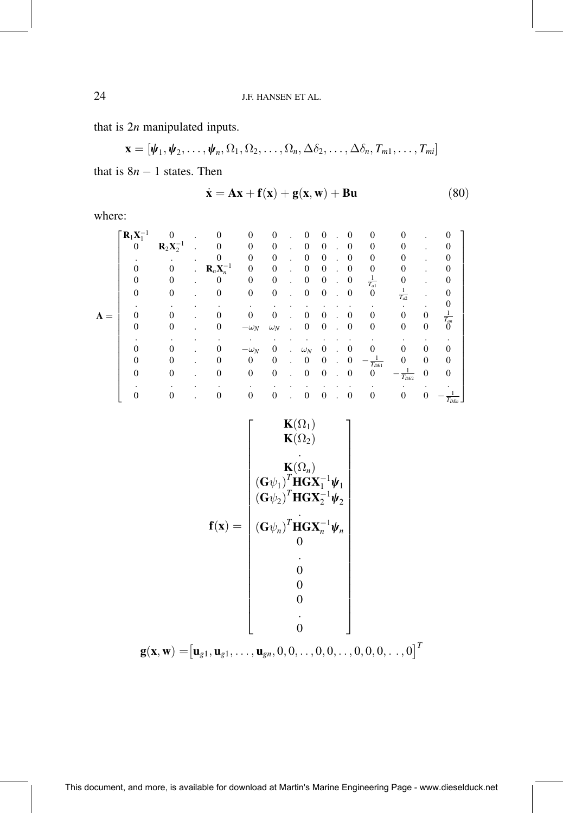that is  $2n$  manipulated inputs.

 $\mathbf{x} = [\psi_1, \psi_2, \dots, \psi_n, \Omega_1, \Omega_2, \dots, \Omega_n, \Delta \delta_2, \dots, \Delta \delta_n, T_{m1}, \dots, T_{mi}]$ 

that is  $8n - 1$  states. Then

$$
\dot{\mathbf{x}} = \mathbf{A}\mathbf{x} + \mathbf{f}(\mathbf{x}) + \mathbf{g}(\mathbf{x}, \mathbf{w}) + \mathbf{B}\mathbf{u}
$$
 (80)

where:

|                | $\lceil \mathbf{R}_1 \mathbf{X}_1^{-1} \rceil$ |          |                      | $\Omega$                        | $\Omega$     | $\theta$       |    | $\Omega$         | $\Omega$         | 0                | $\Omega$           | 0                  |                  |                    |
|----------------|------------------------------------------------|----------|----------------------|---------------------------------|--------------|----------------|----|------------------|------------------|------------------|--------------------|--------------------|------------------|--------------------|
|                | $\boldsymbol{0}$                               | $R2X2-1$ |                      |                                 | $\Omega$     | $\overline{0}$ |    | $\overline{0}$   | $\mathbf{0}$     | $\mathbf{0}$     | $\Omega$           | 0                  |                  | 0                  |
|                |                                                | ٠        |                      | 0                               | $\Omega$     | $\theta$       |    | $\Omega$         | $\theta$         | $\mathbf{0}$     | $\Omega$           | 0                  |                  |                    |
|                | 0                                              | $\Omega$ | $\ddot{\phantom{0}}$ | $\mathbf{R}_n\mathbf{X}_n^{-1}$ | $\Omega$     | $\mathbf{0}$   |    | $\Omega$         | $\theta$         | 0                | 0                  |                    |                  | 0                  |
|                | $\theta$                                       | $\Omega$ |                      | $\boldsymbol{0}$                | $\mathbf{0}$ | $\mathbf{0}$   |    | $\mathbf{0}$     | $\mathbf{0}$     | $\boldsymbol{0}$ | $\frac{1}{T_{a1}}$ | 0                  |                  | 0                  |
|                | $\Omega$                                       | 0        |                      | $\overline{0}$                  | $\mathbf{0}$ | $\mathbf{0}$   |    | $\boldsymbol{0}$ | $\mathbf{0}$     | $\boldsymbol{0}$ | $\mathbf{0}$       | $\frac{1}{T_{a2}}$ |                  |                    |
|                |                                                |          |                      |                                 |              |                |    |                  |                  |                  |                    |                    |                  |                    |
| $\mathbf{A} =$ | 0                                              |          |                      | 0                               | $\Omega$     | $\Omega$       |    | 0                | $\Omega$         | 0                | $\Omega$           | 0                  | $\mathbf{0}$     |                    |
|                | $\Omega$                                       | $\Omega$ |                      | 0                               | $-\omega_N$  | $\omega_N$     |    | $\mathbf{0}$     | $\boldsymbol{0}$ | $\boldsymbol{0}$ | $\mathbf{0}$       | 0                  | $\boldsymbol{0}$ | $\frac{1}{T_{am}}$ |
|                |                                                |          |                      |                                 |              |                |    |                  |                  |                  |                    |                    |                  |                    |
|                |                                                |          |                      | 0                               | $-\omega_N$  | $\mathbf{0}$   |    | $\omega_N$       | $\mathbf{0}$     | 0                |                    | 0                  | 0                | 0                  |
|                | 0                                              |          |                      | $\theta$                        | $\mathbf{0}$ | $\mathbf{0}$   | ä. | $\overline{0}$   | $\mathbf{0}$     | 0                | $T_{DE1}$          | 0                  | $\mathbf{0}$     | 0                  |
|                | $\Omega$                                       |          |                      | $\mathbf{0}$                    | $\mathbf{0}$ | $\mathbf{0}$   |    | $\boldsymbol{0}$ | $\mathbf{0}$     | $\theta$         | $\mathbf{0}$       | $T_{DE2}$          | $\mathbf{0}$     | $\theta$           |
|                |                                                |          |                      |                                 |              |                |    |                  |                  |                  |                    |                    |                  |                    |
|                |                                                |          |                      | 0                               | $\Omega$     | $\mathbf{0}$   |    | $\boldsymbol{0}$ | $\mathbf{0}$     | 0                | 0                  | 0                  | 0                | $T_{DEn}$          |

$$
\mathbf{f}(\mathbf{x}) = \begin{bmatrix} \mathbf{K}(\Omega_1) \\ \mathbf{K}(\Omega_2) \\ \vdots \\ (\mathbf{G}\psi_1)^T \mathbf{H} \mathbf{G} \mathbf{X}_1^{-1} \boldsymbol{\psi}_1 \\ (\mathbf{G}\psi_2)^T \mathbf{H} \mathbf{G} \mathbf{X}_2^{-1} \boldsymbol{\psi}_2 \\ (\mathbf{G}\psi_2)^T \mathbf{H} \mathbf{G} \mathbf{X}_2^{-1} \boldsymbol{\psi}_2 \\ \vdots \\ (\mathbf{G}\psi_n)^T \mathbf{H} \mathbf{G} \mathbf{X}_n^{-1} \boldsymbol{\psi}_n \\ \vdots \\ 0 \\ 0 \\ 0 \\ \vdots \\ 0 \end{bmatrix}
$$

$$
\mathbf{g}(\mathbf{x}, \mathbf{w}) = \begin{bmatrix} \mathbf{u}_{g1}, \mathbf{u}_{g1}, \dots, \mathbf{u}_{gn}, 0, 0, \dots, 0, 0, \dots, 0, 0, 0, \dots, 0 \end{bmatrix}^T
$$

24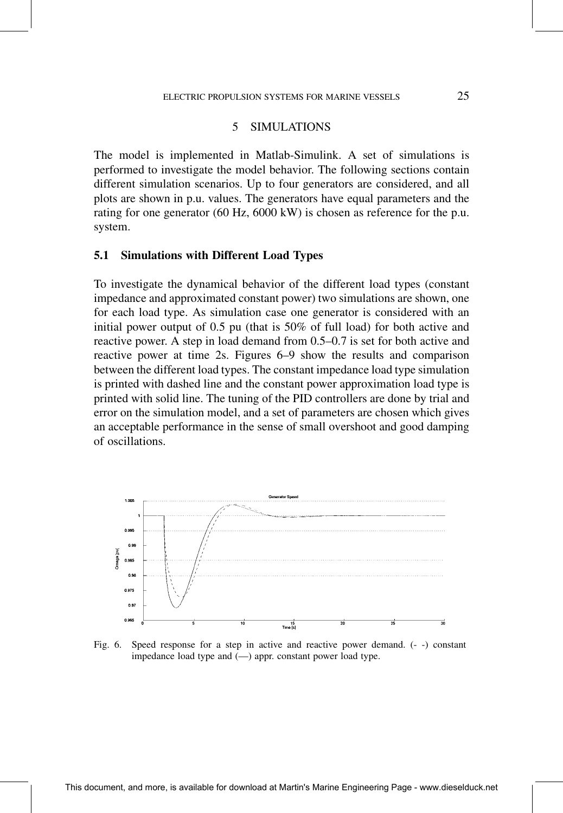# 5 SIMULATIONS

The model is implemented in Matlab-Simulink. A set of simulations is performed to investigate the model behavior. The following sections contain different simulation scenarios. Up to four generators are considered, and all plots are shown in p.u. values. The generators have equal parameters and the rating for one generator (60 Hz, 6000 kW) is chosen as reference for the p.u. system.

#### 5.1 Simulations with Different Load Types

To investigate the dynamical behavior of the different load types (constant impedance and approximated constant power) two simulations are shown, one for each load type. As simulation case one generator is considered with an initial power output of 0.5 pu (that is 50% of full load) for both active and reactive power. A step in load demand from 0.5–0.7 is set for both active and reactive power at time 2s. Figures 6–9 show the results and comparison between the different load types. The constant impedance load type simulation is printed with dashed line and the constant power approximation load type is printed with solid line. The tuning of the PID controllers are done by trial and error on the simulation model, and a set of parameters are chosen which gives an acceptable performance in the sense of small overshoot and good damping of oscillations.



Fig. 6. Speed response for a step in active and reactive power demand. (- -) constant impedance load type and  $(-)$  appr. constant power load type.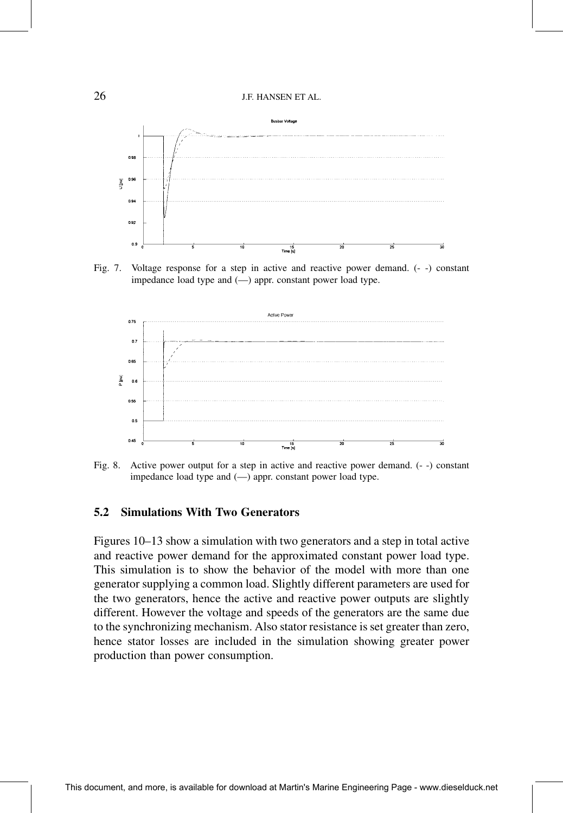

Fig. 7. Voltage response for a step in active and reactive power demand. (- -) constant impedance load type and  $(-)$  appr. constant power load type.



Fig. 8. Active power output for a step in active and reactive power demand. (- -) constant impedance load type and  $(-)$  appr. constant power load type.

#### 5.2 Simulations With Two Generators

Figures 10–13 show a simulation with two generators and a step in total active and reactive power demand for the approximated constant power load type. This simulation is to show the behavior of the model with more than one generator supplying a common load. Slightly different parameters are used for the two generators, hence the active and reactive power outputs are slightly different. However the voltage and speeds of the generators are the same due to the synchronizing mechanism. Also stator resistance is set greater than zero, hence stator losses are included in the simulation showing greater power production than power consumption.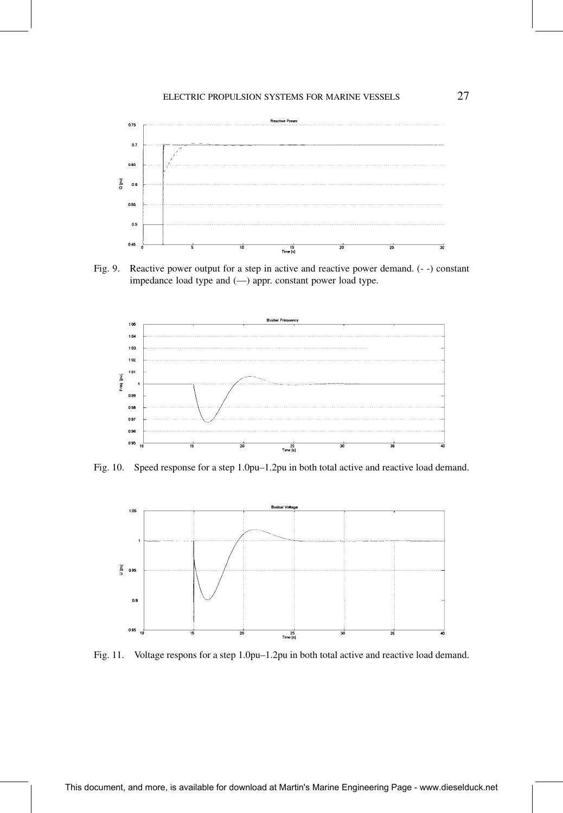

Fig. 9. Reactive power output for a step in active and reactive power demand. (- -) constant impedance load type and  $(-)$  appr. constant power load type.



Fig. 10. Speed response for a step 1.0pu-1.2pu in both total active and reactive load demand.



Fig. 11. Voltage respons for a step 1.0pu-1.2pu in both total active and reactive load demand.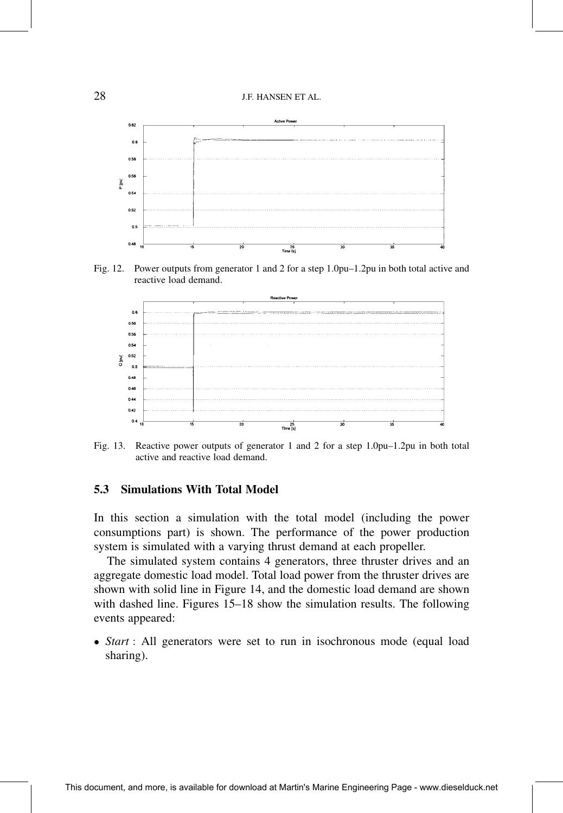

Fig. 12. Power outputs from generator 1 and 2 for a step 1.0pu-1.2pu in both total active and reactive load demand.



Fig. 13. Reactive power outputs of generator 1 and 2 for a step 1.0pu $-1.2$ pu in both total active and reactive load demand.

# 5.3 Simulations With Total Model

In this section a simulation with the total model (including the power consumptions part) is shown. The performance of the power production system is simulated with a varying thrust demand at each propeller.

The simulated system contains 4 generators, three thruster drives and an aggregate domestic load model. Total load power from the thruster drives are shown with solid line in Figure 14, and the domestic load demand are shown with dashed line. Figures  $15-18$  show the simulation results. The following events appeared:

• Start : All generators were set to run in isochronous mode (equal load sharing).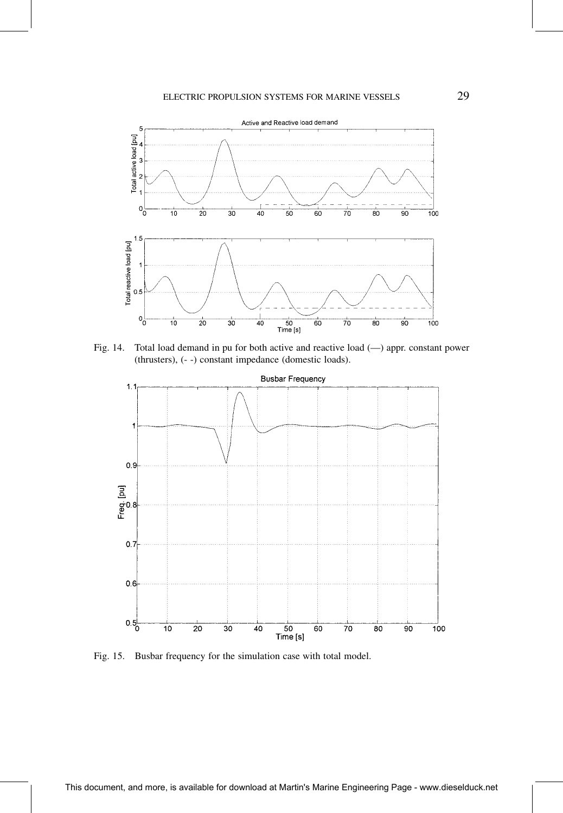

Fig. 14. Total load demand in pu for both active and reactive load (--) appr. constant power (thrusters), (- -) constant impedance (domestic loads).



Fig. 15. Busbar frequency for the simulation case with total model.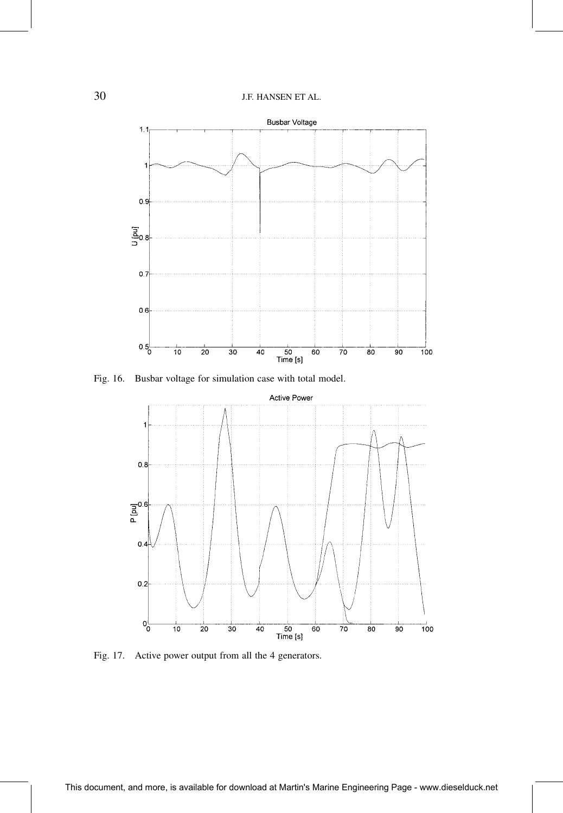

Fig. 16. Busbar voltage for simulation case with total model.



Fig. 17. Active power output from all the 4 generators.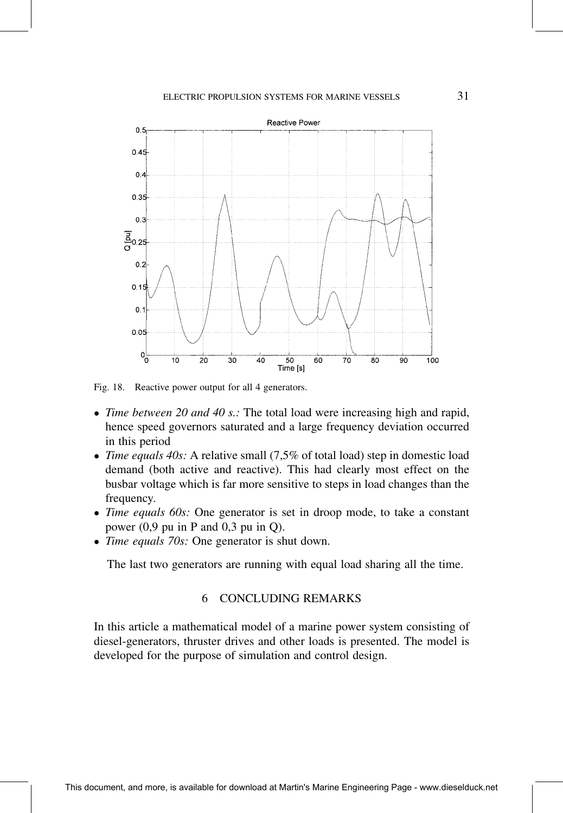

Fig. 18. Reactive power output for all 4 generators.

- Time between 20 and 40 s.: The total load were increasing high and rapid, hence speed governors saturated and a large frequency deviation occurred in this period
- Time equals  $40s$ : A relative small  $(7,5\%$  of total load) step in domestic load demand (both active and reactive). This had clearly most effect on the busbar voltage which is far more sensitive to steps in load changes than the frequency.
- Time equals 60s: One generator is set in droop mode, to take a constant power (0,9 pu in P and 0,3 pu in Q).
- Time equals 70s: One generator is shut down.

The last two generators are running with equal load sharing all the time.

# 6 CONCLUDING REMARKS

In this article a mathematical model of a marine power system consisting of diesel-generators, thruster drives and other loads is presented. The model is developed for the purpose of simulation and control design.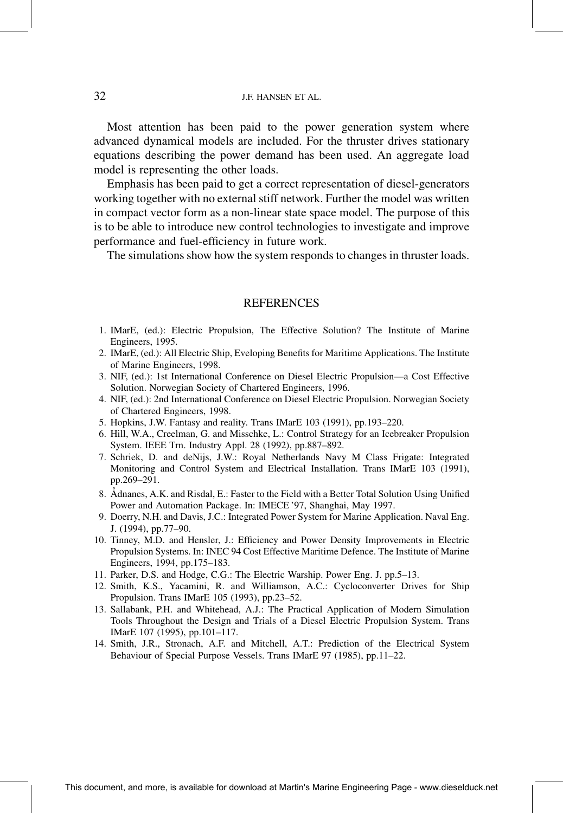Most attention has been paid to the power generation system where advanced dynamical models are included. For the thruster drives stationary equations describing the power demand has been used. An aggregate load model is representing the other loads.

Emphasis has been paid to get a correct representation of diesel-generators working together with no external stiff network. Further the model was written in compact vector form as a non-linear state space model. The purpose of this is to be able to introduce new control technologies to investigate and improve performance and fuel-efficiency in future work.

The simulations show how the system responds to changes in thruster loads.

#### **REFERENCES**

- 1. IMarE, (ed.): Electric Propulsion, The Effective Solution? The Institute of Marine Engineers, 1995.
- 2. IMarE, (ed.): All Electric Ship, Eveloping Benefits for Maritime Applications. The Institute of Marine Engineers, 1998.
- 3. NIF, (ed.): 1st International Conference on Diesel Electric Propulsion—a Cost Effective Solution. Norwegian Society of Chartered Engineers, 1996.
- 4. NIF, (ed.): 2nd International Conference on Diesel Electric Propulsion. Norwegian Society of Chartered Engineers, 1998.
- 5. Hopkins, J.W. Fantasy and reality. Trans IMarE 103 (1991), pp.193–220.
- 6. Hill, W.A., Creelman, G. and Misschke, L.: Control Strategy for an Icebreaker Propulsion System. IEEE Trn. Industry Appl. 28 (1992), pp.887-892.
- 7. Schriek, D. and deNijs, J.W.: Royal Netherlands Navy M Class Frigate: Integrated Monitoring and Control System and Electrical Installation. Trans IMarE 103 (1991), pp.269-291.
- 8. Atlances, A.K. and Risdal, E.: Faster to the Field with a Better Total Solution Using Unified Power and Automation Package. In: IMECE '97, Shanghai, May 1997.
- 9. Doerry, N.H. and Davis, J.C.: Integrated Power System for Marine Application. Naval Eng. J. (1994), pp.77-90.
- 10. Tinney, M.D. and Hensler, J.: Efficiency and Power Density Improvements in Electric Propulsion Systems. In: INEC 94 Cost Effective Maritime Defence. The Institute of Marine Engineers, 1994, pp.175-183.
- 11. Parker, D.S. and Hodge, C.G.: The Electric Warship. Power Eng. J. pp.5-13.
- 12. Smith, K.S., Yacamini, R. and Williamson, A.C.: Cycloconverter Drives for Ship Propulsion. Trans IMarE 105 (1993), pp.23-52.
- 13. Sallabank, P.H. and Whitehead, A.J.: The Practical Application of Modern Simulation Tools Throughout the Design and Trials of a Diesel Electric Propulsion System. Trans IMarE 107 (1995), pp.101-117.
- 14. Smith, J.R., Stronach, A.F. and Mitchell, A.T.: Prediction of the Electrical System Behaviour of Special Purpose Vessels. Trans IMarE 97 (1985), pp.11–22.